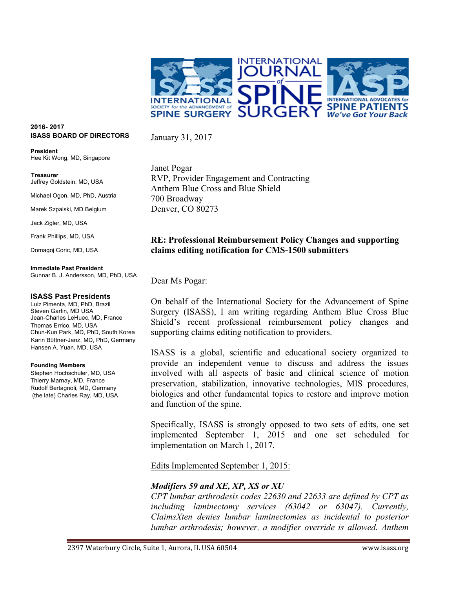

#### **2016- 2017 ISASS BOARD OF DIRECTORS**

**President** Hee Kit Wong, MD, Singapore

 **Treasurer** Jeffrey Goldstein, MD, USA

Michael Ogon, MD, PhD, Austria

Marek Szpalski, MD Belgium

Jack Zigler, MD, USA

Frank Phillips, MD, USA

Domagoj Coric, MD, USA

#### **Immediate Past President**

Gunnar B. J. Andersson, MD, PhD, USA

#### **ISASS Past Presidents**

Luiz Pimenta, MD, PhD, Brazil Steven Garfin, MD USA Jean-Charles LeHuec, MD, France Thomas Errico, MD, USA Chun-Kun Park, MD, PhD, South Korea Karin Büttner-Janz, MD, PhD, Germany Hansen A. Yuan, MD, USA

#### **Founding Members**

Stephen Hochschuler, MD, USA Thierry Marnay, MD, France Rudolf Bertagnoli, MD, Germany (the late) Charles Ray, MD, USA Janet Pogar RVP, Provider Engagement and Contracting Anthem Blue Cross and Blue Shield 700 Broadway Denver, CO 80273

### **RE: Professional Reimbursement Policy Changes and supporting claims editing notification for CMS-1500 submitters**

Dear Ms Pogar:

January 31, 2017

On behalf of the International Society for the Advancement of Spine Surgery (ISASS), I am writing regarding Anthem Blue Cross Blue Shield's recent professional reimbursement policy changes and supporting claims editing notification to providers.

ISASS is a global, scientific and educational society organized to provide an independent venue to discuss and address the issues involved with all aspects of basic and clinical science of motion preservation, stabilization, innovative technologies, MIS procedures, biologics and other fundamental topics to restore and improve motion and function of the spine.

Specifically, ISASS is strongly opposed to two sets of edits, one set implemented September 1, 2015 and one set scheduled for implementation on March 1, 2017.

Edits Implemented September 1, 2015:

### *Modifiers 59 and XE, XP, XS or XU*

*CPT lumbar arthrodesis codes 22630 and 22633 are defined by CPT as including laminectomy services (63042 or 63047). Currently, ClaimsXten denies lumbar laminectomies as incidental to posterior lumbar arthrodesis; however, a modifier override is allowed. Anthem* 

2397 Waterbury Circle, Suite 1, Aurora, IL USA 60504 www.isass.org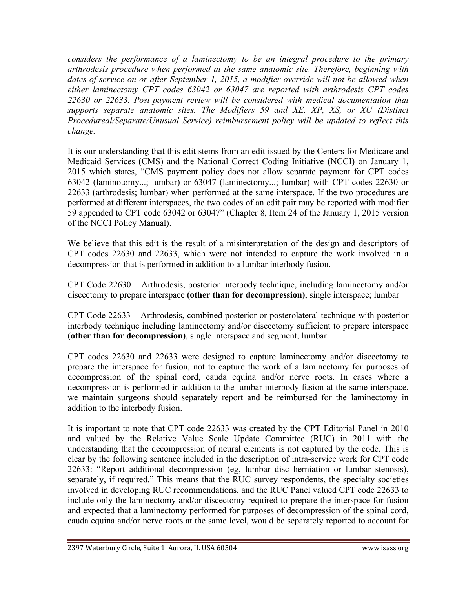*considers the performance of a laminectomy to be an integral procedure to the primary arthrodesis procedure when performed at the same anatomic site. Therefore, beginning with dates of service on or after September 1, 2015, a modifier override will not be allowed when either laminectomy CPT codes 63042 or 63047 are reported with arthrodesis CPT codes 22630 or 22633. Post-payment review will be considered with medical documentation that supports separate anatomic sites. The Modifiers 59 and XE, XP, XS, or XU (Distinct Procedureal/Separate/Unusual Service) reimbursement policy will be updated to reflect this change.*

It is our understanding that this edit stems from an edit issued by the Centers for Medicare and Medicaid Services (CMS) and the National Correct Coding Initiative (NCCI) on January 1, 2015 which states, "CMS payment policy does not allow separate payment for CPT codes 63042 (laminotomy...; lumbar) or 63047 (laminectomy...; lumbar) with CPT codes 22630 or 22633 (arthrodesis; lumbar) when performed at the same interspace. If the two procedures are performed at different interspaces, the two codes of an edit pair may be reported with modifier 59 appended to CPT code 63042 or 63047" (Chapter 8, Item 24 of the January 1, 2015 version of the NCCI Policy Manual).

We believe that this edit is the result of a misinterpretation of the design and descriptors of CPT codes 22630 and 22633, which were not intended to capture the work involved in a decompression that is performed in addition to a lumbar interbody fusion.

CPT Code 22630 – Arthrodesis, posterior interbody technique, including laminectomy and/or discectomy to prepare interspace **(other than for decompression)**, single interspace; lumbar

CPT Code 22633 – Arthrodesis, combined posterior or posterolateral technique with posterior interbody technique including laminectomy and/or discectomy sufficient to prepare interspace **(other than for decompression)**, single interspace and segment; lumbar

CPT codes 22630 and 22633 were designed to capture laminectomy and/or discectomy to prepare the interspace for fusion, not to capture the work of a laminectomy for purposes of decompression of the spinal cord, cauda equina and/or nerve roots. In cases where a decompression is performed in addition to the lumbar interbody fusion at the same interspace, we maintain surgeons should separately report and be reimbursed for the laminectomy in addition to the interbody fusion.

It is important to note that CPT code 22633 was created by the CPT Editorial Panel in 2010 and valued by the Relative Value Scale Update Committee (RUC) in 2011 with the understanding that the decompression of neural elements is not captured by the code. This is clear by the following sentence included in the description of intra-service work for CPT code 22633: "Report additional decompression (eg, lumbar disc herniation or lumbar stenosis), separately, if required." This means that the RUC survey respondents, the specialty societies involved in developing RUC recommendations, and the RUC Panel valued CPT code 22633 to include only the laminectomy and/or discectomy required to prepare the interspace for fusion and expected that a laminectomy performed for purposes of decompression of the spinal cord, cauda equina and/or nerve roots at the same level, would be separately reported to account for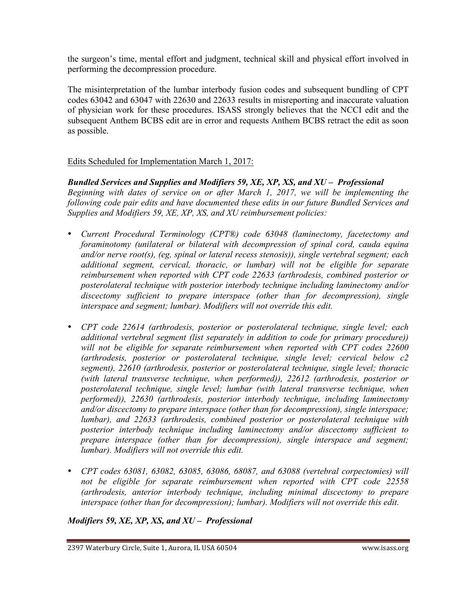the surgeon's time, mental effort and judgment, technical skill and physical effort involved in performing the decompression procedure.

The misinterpretation of the lumbar interbody fusion codes and subsequent bundling of CPT codes 63042 and 63047 with 22630 and 22633 results in misreporting and inaccurate valuation of physician work for these procedures. ISASS strongly believes that the NCCI edit and the subsequent Anthem BCBS edit are in error and requests Anthem BCBS retract the edit as soon as possible.

# Edits Scheduled for Implementation March 1, 2017:

## *Bundled Services and Supplies and Modifiers 59, XE, XP, XS, and XU – Professional*

*Beginning with dates of service on or after March 1, 2017, we will be implementing the following code pair edits and have documented these edits in our future Bundled Services and Supplies and Modifiers 59, XE, XP, XS, and XU reimbursement policies:*

- *Current Procedural Terminology (CPT®) code 63048 (laminectomy, facetectomy and foraminotomy (unilateral or bilateral with decompression of spinal cord, cauda equina and/or nerve root(s), (eg, spinal or lateral recess stenosis)), single vertebral segment; each additional segment, cervical, thoracic, or lumbar) will not be eligible for separate reimbursement when reported with CPT code 22633 (arthrodesis, combined posterior or posterolateral technique with posterior interbody technique including laminectomy and/or discectomy sufficient to prepare interspace (other than for decompression), single interspace and segment; lumbar). Modifiers will not override this edit.*
- *CPT code 22614 (arthrodesis, posterior or posterolateral technique, single level; each additional vertebral segment (list separately in addition to code for primary procedure))*  will not be eligible for separate reimbursement when reported with CPT codes 22600 *(arthrodesis, posterior or posterolateral technique, single level; cervical below c2 segment), 22610 (arthrodesis, posterior or posterolateral technique, single level; thoracic (with lateral transverse technique, when performed)), 22612 (arthrodesis, posterior or posterolateral technique, single level; lumbar (with lateral transverse technique, when performed)), 22630 (arthrodesis, posterior interbody technique, including laminectomy and/or discectomy to prepare interspace (other than for decompression), single interspace; lumbar), and 22633 (arthrodesis, combined posterior or posterolateral technique with posterior interbody technique including laminectomy and/or discectomy sufficient to prepare interspace (other than for decompression), single interspace and segment; lumbar). Modifiers will not override this edit.*
- *CPT codes 63081, 63082, 63085, 63086, 68087, and 63088 (vertebral corpectomies) will not be eligible for separate reimbursement when reported with CPT code 22558 (arthrodesis, anterior interbody technique, including minimal discectomy to prepare interspace (other than for decompression); lumbar). Modifiers will not override this edit.*

## *Modifiers 59, XE, XP, XS, and XU – Professional*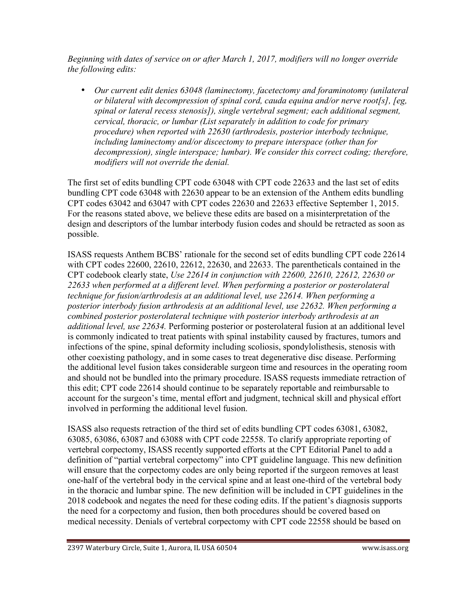*Beginning with dates of service on or after March 1, 2017, modifiers will no longer override the following edits:*

• *Our current edit denies 63048 (laminectomy, facetectomy and foraminotomy (unilateral or bilateral with decompression of spinal cord, cauda equina and/or nerve root[s], [eg, spinal or lateral recess stenosis]), single vertebral segment; each additional segment, cervical, thoracic, or lumbar (List separately in addition to code for primary procedure) when reported with 22630 (arthrodesis, posterior interbody technique, including laminectomy and/or discectomy to prepare interspace (other than for decompression), single interspace; lumbar). We consider this correct coding; therefore, modifiers will not override the denial.*

The first set of edits bundling CPT code 63048 with CPT code 22633 and the last set of edits bundling CPT code 63048 with 22630 appear to be an extension of the Anthem edits bundling CPT codes 63042 and 63047 with CPT codes 22630 and 22633 effective September 1, 2015. For the reasons stated above, we believe these edits are based on a misinterpretation of the design and descriptors of the lumbar interbody fusion codes and should be retracted as soon as possible.

ISASS requests Anthem BCBS' rationale for the second set of edits bundling CPT code 22614 with CPT codes 22600, 22610, 22612, 22630, and 22633. The parentheticals contained in the CPT codebook clearly state, *Use 22614 in conjunction with 22600, 22610, 22612, 22630 or 22633 when performed at a different level. When performing a posterior or posterolateral technique for fusion/arthrodesis at an additional level, use 22614. When performing a posterior interbody fusion arthrodesis at an additional level, use 22632. When performing a combined posterior posterolateral technique with posterior interbody arthrodesis at an additional level, use 22634.* Performing posterior or posterolateral fusion at an additional level is commonly indicated to treat patients with spinal instability caused by fractures, tumors and infections of the spine, spinal deformity including scoliosis, spondylolisthesis, stenosis with other coexisting pathology, and in some cases to treat degenerative disc disease. Performing the additional level fusion takes considerable surgeon time and resources in the operating room and should not be bundled into the primary procedure. ISASS requests immediate retraction of this edit; CPT code 22614 should continue to be separately reportable and reimbursable to account for the surgeon's time, mental effort and judgment, technical skill and physical effort involved in performing the additional level fusion.

ISASS also requests retraction of the third set of edits bundling CPT codes 63081, 63082, 63085, 63086, 63087 and 63088 with CPT code 22558. To clarify appropriate reporting of vertebral corpectomy, ISASS recently supported efforts at the CPT Editorial Panel to add a definition of "partial vertebral corpectomy" into CPT guideline language. This new definition will ensure that the corpectomy codes are only being reported if the surgeon removes at least one-half of the vertebral body in the cervical spine and at least one-third of the vertebral body in the thoracic and lumbar spine. The new definition will be included in CPT guidelines in the 2018 codebook and negates the need for these coding edits. If the patient's diagnosis supports the need for a corpectomy and fusion, then both procedures should be covered based on medical necessity. Denials of vertebral corpectomy with CPT code 22558 should be based on